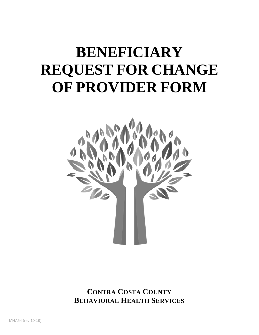# **BENEFICIARY REQUEST FOR CHANGE OF PROVIDER FORM**



**CONTRA COSTA COUNTY BEHAVIORAL HEALTH SERVICES**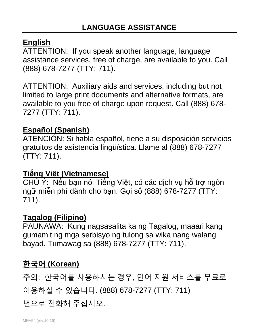#### **English**

ATTENTION: If you speak another language, language assistance services, free of charge, are available to you. Call (888) 678-7277 (TTY: 711).

ATTENTION: Auxiliary aids and services, including but not limited to large print documents and alternative formats, are available to you free of charge upon request. Call (888) 678- 7277 (TTY: 711).

## **Español (Spanish)**

ATENCIÓN: Si habla español, tiene a su disposición servicios gratuitos de asistencia lingüística. Llame al (888) 678-7277 (TTY: 711).

#### **Tiếng Việt (Vietnamese)**

CHÚ Ý: Nếu bạn nói Tiếng Việt, có các dịch vụ hỗ trợ ngôn ngữ miễn phí dành cho bạn. Gọi số (888) 678-7277 (TTY: 711).

#### **Tagalog (Filipino)**

PAUNAWA: Kung nagsasalita ka ng Tagalog, maaari kang gumamit ng mga serbisyo ng tulong sa wika nang walang bayad. Tumawag sa (888) 678-7277 (TTY: 711).

## **한국어 (Korean)**

주의: 한국어를 사용하시는 경우, 언어 지원 서비스를 무료로 이용하실 수 있습니다. (888) 678-7277 (TTY: 711)

번으로 전화해 주십시오.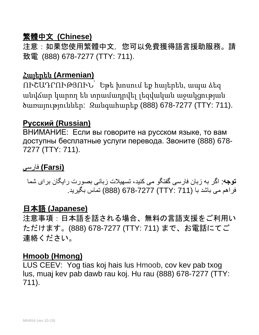#### 繁體中文 **(Chinese)**

注意:如果您使用繁體中文,您可以免費獲得語言援助服務。請 致電 (888) 678-7277 (TTY: 711).

#### Հայերեն **(Armenian)**

ՈՒՇԱԴՐՈՒԹՅՈՒՆ՝ Եթե խոսում եք հայերեն, ապա ձեզ անվճար կարող են տրամադրվել լեզվական աջակցության ծառայություններ: Զանգահարեք (888) 678-7277 (TTY: 711).

#### **Русский (Russian)**

ВНИМАНИЕ: Если вы говорите на русском языке, то вам доступны бесплатные услуги перевода. Звоните (888) 678- 7277 (TTY: 711).

#### **(Farsi (**فارسی

**توجھ**: اگر بھ زبان فارسی گفتگو می کنید، تسھیلات زبانی بصورت رایگان برای شما فراھم می باشد با (711 :TTY (678-7277) 888 (تماس بگیرید.

#### 日本語 **(Japanese)**

注意事項:日本語を話される場合、無料の言語支援をご利用い ただけます。(888) 678-7277 (TTY: 711) まで、お電話にてご 連絡ください。

#### **Hmoob (Hmong)**

LUS CEEV: Yog tias koj hais lus Hmoob, cov kev pab txog lus, muaj kev pab dawb rau koj. Hu rau (888) 678-7277 (TTY: 711).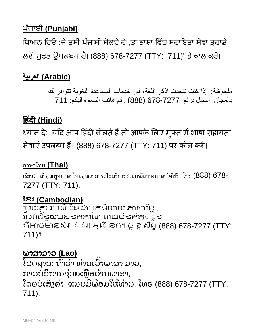## ਪੰ ਜਾਬੀ **(Punjabi)**

ਧਿਆਨ ਦਿਓ :ਜੇ ਤੁਸੀਂ ਪੰਜਾਬੀ ਬੋਲਦੇ ਹੋ ,ਤਾਂ ਭਾਸ਼ਾ ਵਿੱਚ ਸਹਾਇਤਾ ਸੇਵਾ ਤੁਹਾਡੇ ਲਈ ਮੁਫਤ ਉਪਲਬਧ ਹੈ। (888) 678-7277 (TTY: 711)' ਤੇ ਕਾਲ ਕਰੋ।

## **(Arabic (العربیة**

ملحوظة: إذا كنت تتحدث اذكر اللغة، فإن خدمات المساعدة اللغویة تتوافر لك بالمجان. اتصل برقم 678-7277 (888) رقم ھاتف الصم والبكم: 711

## **�हंद� (Hindi)**

ध्यान दे: यदि आप हिंदी बोलते हैं तो आपके लिए मुफ्त में भाषा सहायता सेवाएं उपलब्ध हैं। (888) 678-7277 (TTY: 711) पर कॉल करें।

#### **ภาษาไทย (Thai)**

เรียน: ถ้าคุณพูดภาษาไทยคุณสามารถใช้บริการช่วยเหลือทางภาษาได้ฟรี โทร (888) 678- 7277 (TTY: 711).

## <u>ខ្មែរ (Cambodian)</u>

្របយ័គ្នះ ររ សើ ៑នងាអ្នកនិយាយ ភាសាខ្មែ ុ រសវាជំនួយមននកភាសា រោយមីនគិតុួួួន គឺអាចម៉ានសំរា ់ បំររ អ្ើ នក។ ចូ ទូ ស័ព្ទ (888) 678-7277 (TTY: 711)។

#### ພາສາລາວ **(Lao)**

ໄປດຊາບ: ຖ້າວ່າ ທ່ານເວົາພາສາ ລາວ, ່ ່ ້ ການບໍລິການຊ່ວຍເຫຼືອດ້ານພາສາ, ໂດຍບໍ່ເສັ້ງຄ່າ, ແມ່ນມີພ້ອມໃຫ້ທ່ານ. ໂທຣ (888) 678-7277 (TTY: ັ ່ ່ ີ ່ 711).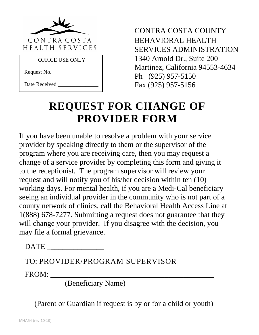

OFFICE USE ONLY

Request No.

Date Received

CONTRA COSTA COUNTY BEHAVIORAL HEALTH SERVICES ADMINISTRATION 1340 Arnold Dr., Suite 200 Martinez, California 94553-4634 Ph (925) 957-5150 Fax (925) 957-5156

## **REQUEST FOR CHANGE OF PROVIDER FORM**

If you have been unable to resolve a problem with your service provider by speaking directly to them or the supervisor of the program where you are receiving care, then you may request a change of a service provider by completing this form and giving it to the receptionist. The program supervisor will review your request and will notify you of his/her decision within ten (10) working days. For mental health, if you are a Medi-Cal beneficiary seeing an individual provider in the community who is not part of a county network of clinics, call the Behavioral Health Access Line at 1(888) 678-7277. Submitting a request does not guarantee that they will change your provider. If you disagree with the decision, you may file a formal grievance.

DATE \_**\_\_\_\_\_\_\_\_\_\_\_\_\_\_**

TO: PROVIDER/PROGRAM SUPERVISOR

FROM:

(Beneficiary Name)

(Parent or Guardian if request is by or for a child or youth)

\_\_\_\_\_\_\_\_\_\_\_\_\_\_\_\_\_\_\_\_\_\_\_\_\_\_\_\_\_\_\_\_\_\_\_\_\_\_\_\_\_\_\_\_\_\_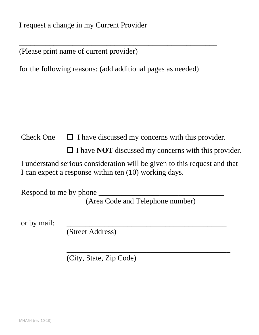I request a change in my Current Provider

|  |  | (Please print name of current provider) |  |
|--|--|-----------------------------------------|--|
|--|--|-----------------------------------------|--|

for the following reasons: (add additional pages as needed)

\_\_\_\_\_\_\_\_\_\_\_\_\_\_\_\_\_\_\_\_\_\_\_\_\_\_\_\_\_\_\_\_\_\_\_\_\_\_\_\_\_\_\_\_\_\_\_\_\_\_\_\_

Check One  $\Box$  I have discussed my concerns with this provider.

□ I have **NOT** discussed my concerns with this provider.

\_\_\_\_\_\_\_\_\_\_\_\_\_\_\_\_\_\_\_\_\_\_\_\_\_\_\_\_\_\_\_\_\_\_\_\_\_\_\_\_\_\_\_

I understand serious consideration will be given to this request and that I can expect a response within ten (10) working days.

Respond to me by phone (Area Code and Telephone number)

or by mail:

(Street Address)

(City, State, Zip Code)